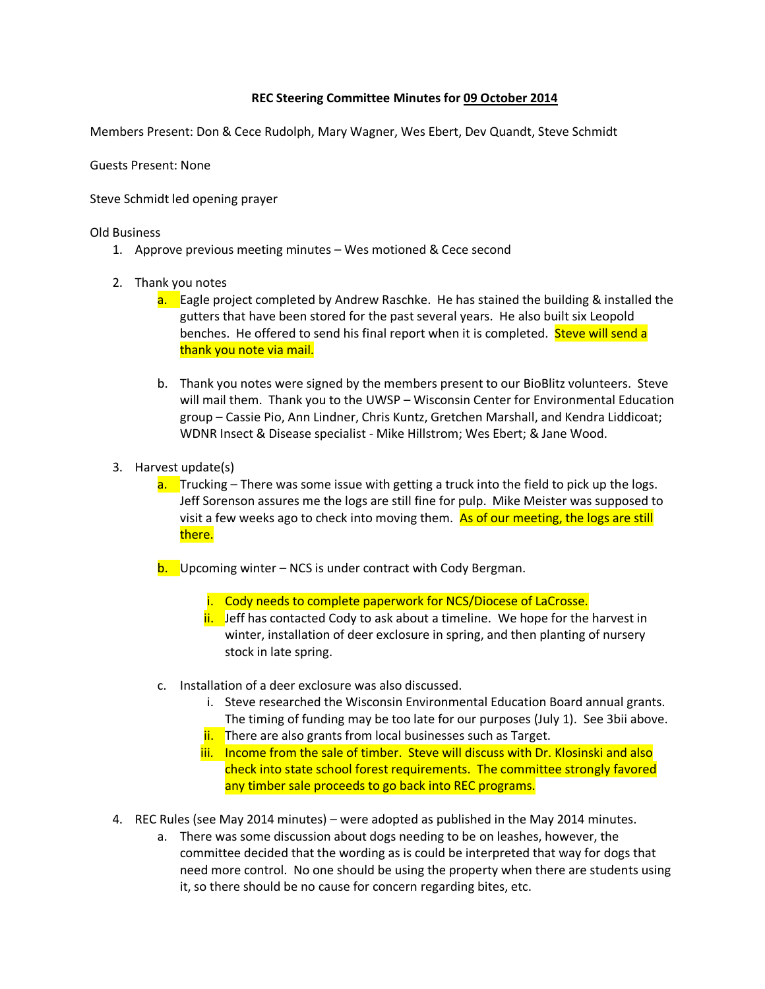## **REC Steering Committee Minutes for 09 October 2014**

Members Present: Don & Cece Rudolph, Mary Wagner, Wes Ebert, Dev Quandt, Steve Schmidt

Guests Present: None

Steve Schmidt led opening prayer

Old Business

- 1. Approve previous meeting minutes Wes motioned & Cece second
- 2. Thank you notes
	- a. Eagle project completed by Andrew Raschke. He has stained the building & installed the gutters that have been stored for the past several years. He also built six Leopold benches. He offered to send his final report when it is completed. Steve will send a thank you note via mail.
	- b. Thank you notes were signed by the members present to our BioBlitz volunteers. Steve will mail them. Thank you to the UWSP – Wisconsin Center for Environmental Education group – Cassie Pio, Ann Lindner, Chris Kuntz, Gretchen Marshall, and Kendra Liddicoat; WDNR Insect & Disease specialist - Mike Hillstrom; Wes Ebert; & Jane Wood.
- 3. Harvest update(s)
	- a. Trucking There was some issue with getting a truck into the field to pick up the logs. Jeff Sorenson assures me the logs are still fine for pulp. Mike Meister was supposed to visit a few weeks ago to check into moving them. As of our meeting, the logs are still there.
	- $b.$  Upcoming winter NCS is under contract with Cody Bergman.
		- i. Cody needs to complete paperwork for NCS/Diocese of LaCrosse.
		- $\frac{1}{1}$  Jeff has contacted Cody to ask about a timeline. We hope for the harvest in winter, installation of deer exclosure in spring, and then planting of nursery stock in late spring.
	- c. Installation of a deer exclosure was also discussed.
		- i. Steve researched the Wisconsin Environmental Education Board annual grants. The timing of funding may be too late for our purposes (July 1). See 3bii above.
		- ii. There are also grants from local businesses such as Target.
		- iii. Income from the sale of timber. Steve will discuss with Dr. Klosinski and also check into state school forest requirements. The committee strongly favored any timber sale proceeds to go back into REC programs.
- 4. REC Rules (see May 2014 minutes) were adopted as published in the May 2014 minutes.
	- a. There was some discussion about dogs needing to be on leashes, however, the committee decided that the wording as is could be interpreted that way for dogs that need more control. No one should be using the property when there are students using it, so there should be no cause for concern regarding bites, etc.